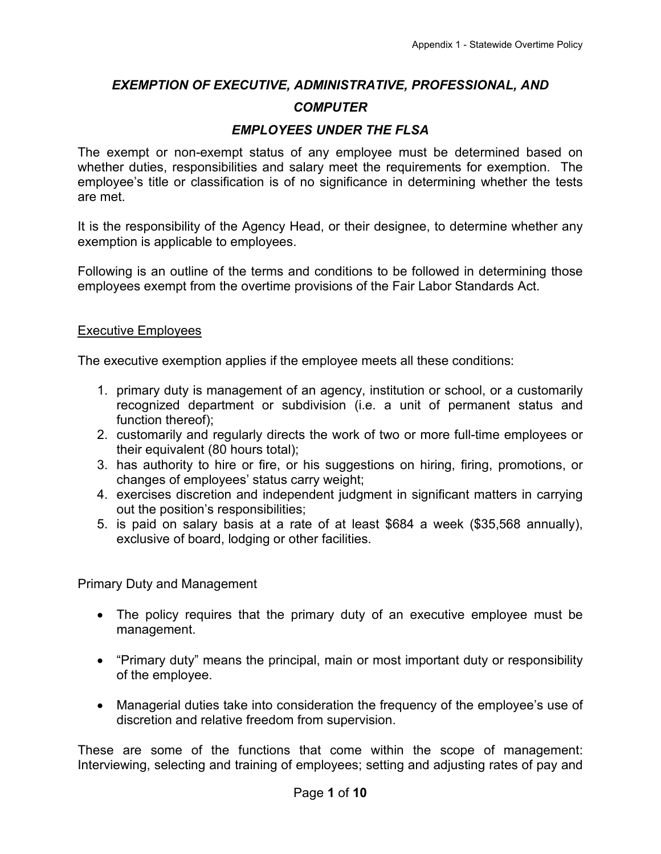# *EXEMPTION OF EXECUTIVE, ADMINISTRATIVE, PROFESSIONAL, AND COMPUTER*

### *EMPLOYEES UNDER THE FLSA*

The exempt or non-exempt status of any employee must be determined based on whether duties, responsibilities and salary meet the requirements for exemption. The employee's title or classification is of no significance in determining whether the tests are met.

It is the responsibility of the Agency Head, or their designee, to determine whether any exemption is applicable to employees.

Following is an outline of the terms and conditions to be followed in determining those employees exempt from the overtime provisions of the Fair Labor Standards Act.

#### Executive Employees

The executive exemption applies if the employee meets all these conditions:

- 1. primary duty is management of an agency, institution or school, or a customarily recognized department or subdivision (i.e. a unit of permanent status and function thereof);
- 2. customarily and regularly directs the work of two or more full-time employees or their equivalent (80 hours total);
- 3. has authority to hire or fire, or his suggestions on hiring, firing, promotions, or changes of employees' status carry weight;
- 4. exercises discretion and independent judgment in significant matters in carrying out the position's responsibilities;
- 5. is paid on salary basis at a rate of at least \$684 a week (\$35,568 annually), exclusive of board, lodging or other facilities.

Primary Duty and Management

- The policy requires that the primary duty of an executive employee must be management.
- "Primary duty" means the principal, main or most important duty or responsibility of the employee.
- Managerial duties take into consideration the frequency of the employee's use of discretion and relative freedom from supervision.

These are some of the functions that come within the scope of management: Interviewing, selecting and training of employees; setting and adjusting rates of pay and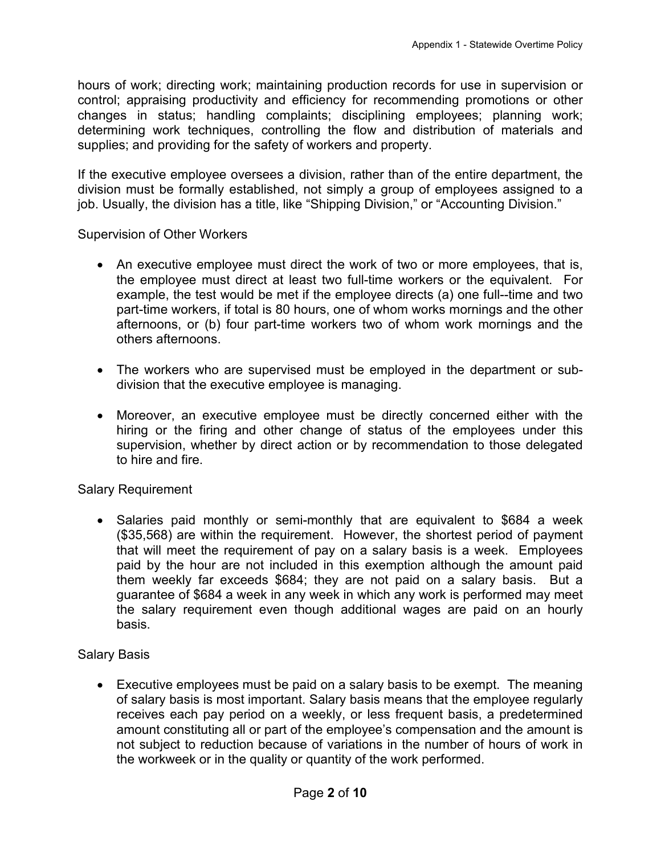hours of work; directing work; maintaining production records for use in supervision or control; appraising productivity and efficiency for recommending promotions or other changes in status; handling complaints; disciplining employees; planning work; determining work techniques, controlling the flow and distribution of materials and supplies; and providing for the safety of workers and property.

If the executive employee oversees a division, rather than of the entire department, the division must be formally established, not simply a group of employees assigned to a job. Usually, the division has a title, like "Shipping Division," or "Accounting Division."

#### Supervision of Other Workers

- An executive employee must direct the work of two or more employees, that is, the employee must direct at least two full-time workers or the equivalent. For example, the test would be met if the employee directs (a) one full--time and two part-time workers, if total is 80 hours, one of whom works mornings and the other afternoons, or (b) four part-time workers two of whom work mornings and the others afternoons.
- The workers who are supervised must be employed in the department or subdivision that the executive employee is managing.
- Moreover, an executive employee must be directly concerned either with the hiring or the firing and other change of status of the employees under this supervision, whether by direct action or by recommendation to those delegated to hire and fire.

#### Salary Requirement

• Salaries paid monthly or semi-monthly that are equivalent to \$684 a week (\$35,568) are within the requirement. However, the shortest period of payment that will meet the requirement of pay on a salary basis is a week. Employees paid by the hour are not included in this exemption although the amount paid them weekly far exceeds \$684; they are not paid on a salary basis. But a guarantee of \$684 a week in any week in which any work is performed may meet the salary requirement even though additional wages are paid on an hourly basis.

## Salary Basis

• Executive employees must be paid on a salary basis to be exempt. The meaning of salary basis is most important. Salary basis means that the employee regularly receives each pay period on a weekly, or less frequent basis, a predetermined amount constituting all or part of the employee's compensation and the amount is not subject to reduction because of variations in the number of hours of work in the workweek or in the quality or quantity of the work performed.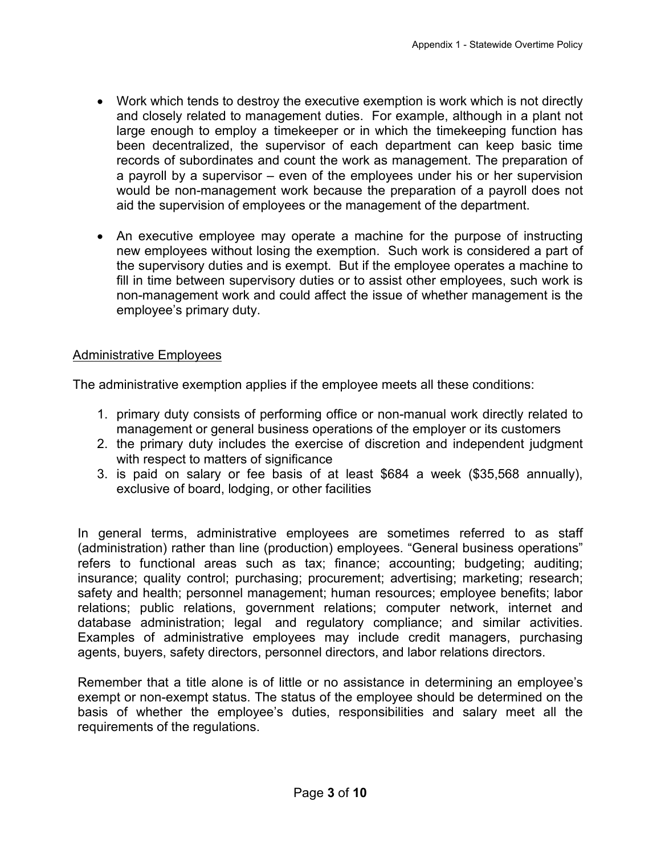- Work which tends to destroy the executive exemption is work which is not directly and closely related to management duties. For example, although in a plant not large enough to employ a timekeeper or in which the timekeeping function has been decentralized, the supervisor of each department can keep basic time records of subordinates and count the work as management. The preparation of a payroll by a supervisor – even of the employees under his or her supervision would be non-management work because the preparation of a payroll does not aid the supervision of employees or the management of the department.
- An executive employee may operate a machine for the purpose of instructing new employees without losing the exemption. Such work is considered a part of the supervisory duties and is exempt. But if the employee operates a machine to fill in time between supervisory duties or to assist other employees, such work is non-management work and could affect the issue of whether management is the employee's primary duty.

## Administrative Employees

The administrative exemption applies if the employee meets all these conditions:

- 1. primary duty consists of performing office or non-manual work directly related to management or general business operations of the employer or its customers
- 2. the primary duty includes the exercise of discretion and independent judgment with respect to matters of significance
- 3. is paid on salary or fee basis of at least \$684 a week (\$35,568 annually), exclusive of board, lodging, or other facilities

In general terms, administrative employees are sometimes referred to as staff (administration) rather than line (production) employees. "General business operations" refers to functional areas such as tax; finance; accounting; budgeting; auditing; insurance; quality control; purchasing; procurement; advertising; marketing; research; safety and health; personnel management; human resources; employee benefits; labor relations; public relations, government relations; computer network, internet and database administration; legal and regulatory compliance; and similar activities. Examples of administrative employees may include credit managers, purchasing agents, buyers, safety directors, personnel directors, and labor relations directors.

Remember that a title alone is of little or no assistance in determining an employee's exempt or non-exempt status. The status of the employee should be determined on the basis of whether the employee's duties, responsibilities and salary meet all the requirements of the regulations.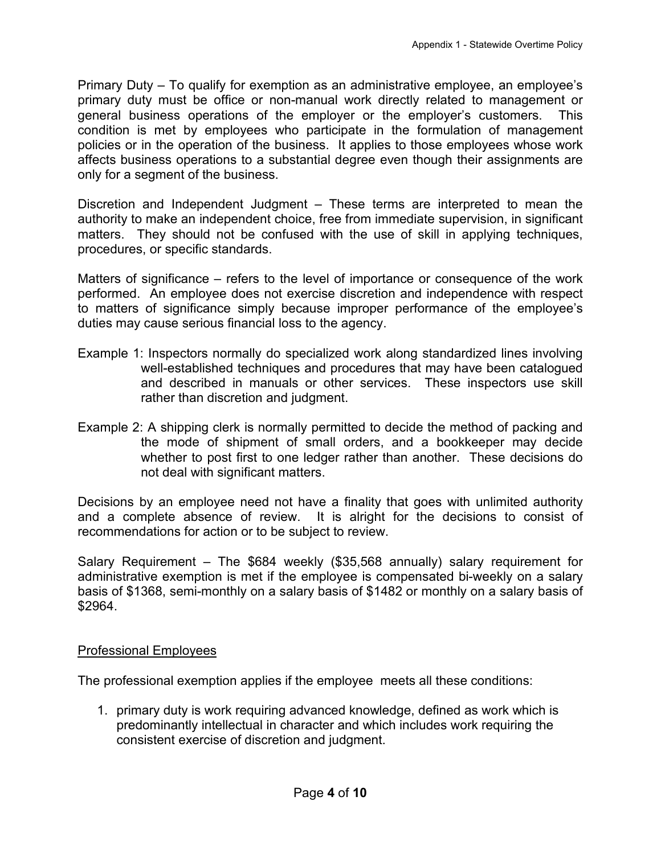Primary Duty – To qualify for exemption as an administrative employee, an employee's primary duty must be office or non-manual work directly related to management or general business operations of the employer or the employer's customers. This condition is met by employees who participate in the formulation of management policies or in the operation of the business. It applies to those employees whose work affects business operations to a substantial degree even though their assignments are only for a segment of the business.

Discretion and Independent Judgment – These terms are interpreted to mean the authority to make an independent choice, free from immediate supervision, in significant matters. They should not be confused with the use of skill in applying techniques, procedures, or specific standards.

Matters of significance – refers to the level of importance or consequence of the work performed. An employee does not exercise discretion and independence with respect to matters of significance simply because improper performance of the employee's duties may cause serious financial loss to the agency.

- Example 1: Inspectors normally do specialized work along standardized lines involving well-established techniques and procedures that may have been catalogued and described in manuals or other services. These inspectors use skill rather than discretion and judgment.
- Example 2: A shipping clerk is normally permitted to decide the method of packing and the mode of shipment of small orders, and a bookkeeper may decide whether to post first to one ledger rather than another. These decisions do not deal with significant matters.

Decisions by an employee need not have a finality that goes with unlimited authority and a complete absence of review. It is alright for the decisions to consist of recommendations for action or to be subject to review.

Salary Requirement – The \$684 weekly (\$35,568 annually) salary requirement for administrative exemption is met if the employee is compensated bi-weekly on a salary basis of \$1368, semi-monthly on a salary basis of \$1482 or monthly on a salary basis of \$2964.

#### Professional Employees

The professional exemption applies if the employee meets all these conditions:

1. primary duty is work requiring advanced knowledge, defined as work which is predominantly intellectual in character and which includes work requiring the consistent exercise of discretion and judgment.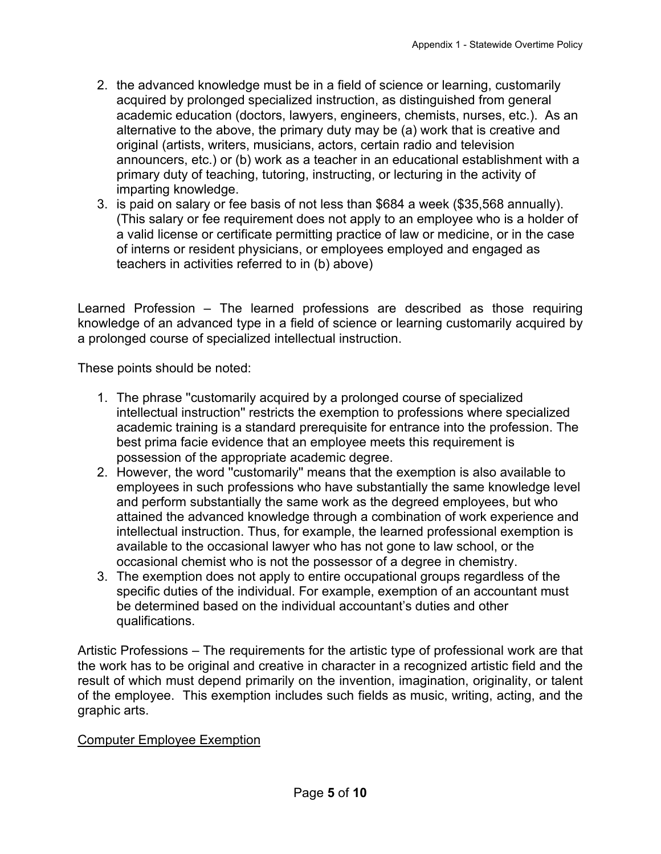- 2. the advanced knowledge must be in a field of science or learning, customarily acquired by prolonged specialized instruction, as distinguished from general academic education (doctors, lawyers, engineers, chemists, nurses, etc.). As an alternative to the above, the primary duty may be (a) work that is creative and original (artists, writers, musicians, actors, certain radio and television announcers, etc.) or (b) work as a teacher in an educational establishment with a primary duty of teaching, tutoring, instructing, or lecturing in the activity of imparting knowledge.
- 3. is paid on salary or fee basis of not less than \$684 a week (\$35,568 annually). (This salary or fee requirement does not apply to an employee who is a holder of a valid license or certificate permitting practice of law or medicine, or in the case of interns or resident physicians, or employees employed and engaged as teachers in activities referred to in (b) above)

Learned Profession – The learned professions are described as those requiring knowledge of an advanced type in a field of science or learning customarily acquired by a prolonged course of specialized intellectual instruction.

These points should be noted:

- 1. The phrase ''customarily acquired by a prolonged course of specialized intellectual instruction'' restricts the exemption to professions where specialized academic training is a standard prerequisite for entrance into the profession. The best prima facie evidence that an employee meets this requirement is possession of the appropriate academic degree.
- 2. However, the word ''customarily'' means that the exemption is also available to employees in such professions who have substantially the same knowledge level and perform substantially the same work as the degreed employees, but who attained the advanced knowledge through a combination of work experience and intellectual instruction. Thus, for example, the learned professional exemption is available to the occasional lawyer who has not gone to law school, or the occasional chemist who is not the possessor of a degree in chemistry.
- 3. The exemption does not apply to entire occupational groups regardless of the specific duties of the individual. For example, exemption of an accountant must be determined based on the individual accountant's duties and other qualifications.

Artistic Professions – The requirements for the artistic type of professional work are that the work has to be original and creative in character in a recognized artistic field and the result of which must depend primarily on the invention, imagination, originality, or talent of the employee. This exemption includes such fields as music, writing, acting, and the graphic arts.

## Computer Employee Exemption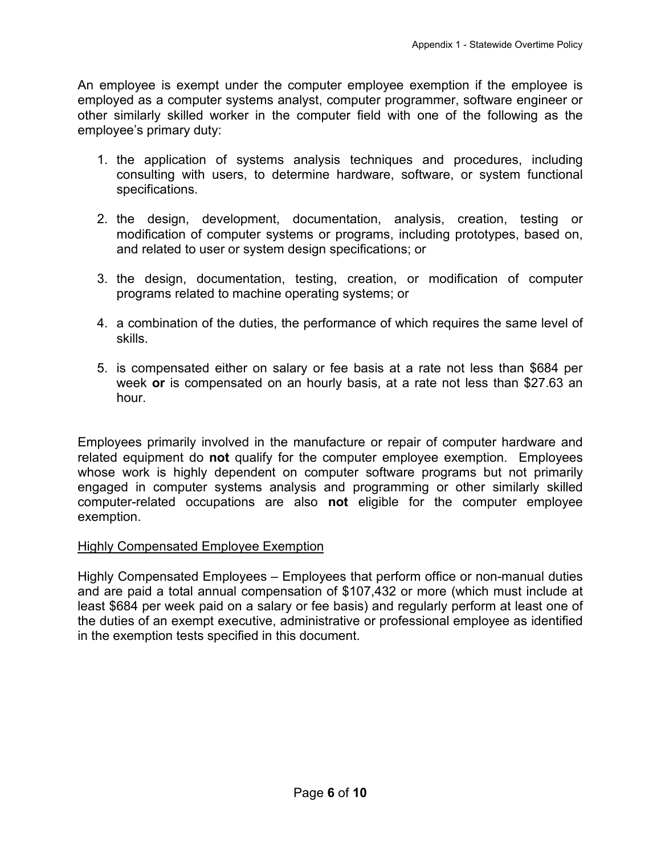An employee is exempt under the computer employee exemption if the employee is employed as a computer systems analyst, computer programmer, software engineer or other similarly skilled worker in the computer field with one of the following as the employee's primary duty:

- 1. the application of systems analysis techniques and procedures, including consulting with users, to determine hardware, software, or system functional specifications.
- 2. the design, development, documentation, analysis, creation, testing or modification of computer systems or programs, including prototypes, based on, and related to user or system design specifications; or
- 3. the design, documentation, testing, creation, or modification of computer programs related to machine operating systems; or
- 4. a combination of the duties, the performance of which requires the same level of skills.
- 5. is compensated either on salary or fee basis at a rate not less than \$684 per week **or** is compensated on an hourly basis, at a rate not less than \$27.63 an hour.

Employees primarily involved in the manufacture or repair of computer hardware and related equipment do **not** qualify for the computer employee exemption. Employees whose work is highly dependent on computer software programs but not primarily engaged in computer systems analysis and programming or other similarly skilled computer-related occupations are also **not** eligible for the computer employee exemption.

## Highly Compensated Employee Exemption

Highly Compensated Employees – Employees that perform office or non-manual duties and are paid a total annual compensation of \$107,432 or more (which must include at least \$684 per week paid on a salary or fee basis) and regularly perform at least one of the duties of an exempt executive, administrative or professional employee as identified in the exemption tests specified in this document.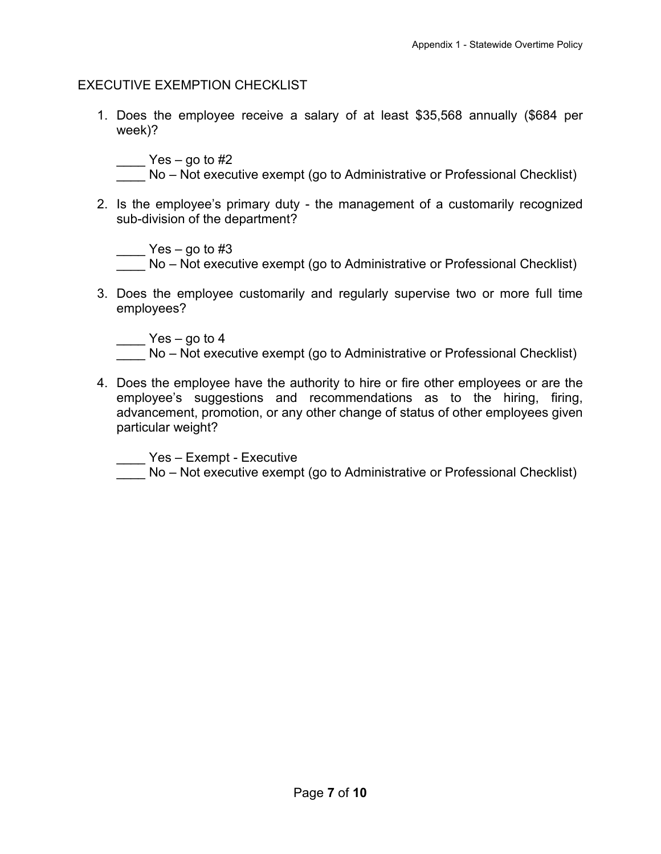#### EXECUTIVE EXEMPTION CHECKLIST

1. Does the employee receive a salary of at least \$35,568 annually (\$684 per week)?

 $\frac{1}{2}$  Yes – go to #2

- No Not executive exempt (go to Administrative or Professional Checklist)
- 2. Is the employee's primary duty the management of a customarily recognized sub-division of the department?

 $\frac{1}{2}$  Yes – go to #3

No – Not executive exempt (go to Administrative or Professional Checklist)

3. Does the employee customarily and regularly supervise two or more full time employees?

 $\frac{1}{2}$  Yes – go to 4

- No Not executive exempt (go to Administrative or Professional Checklist)
- 4. Does the employee have the authority to hire or fire other employees or are the employee's suggestions and recommendations as to the hiring, firing, advancement, promotion, or any other change of status of other employees given particular weight?

\_\_\_\_ Yes – Exempt - Executive

No – Not executive exempt (go to Administrative or Professional Checklist)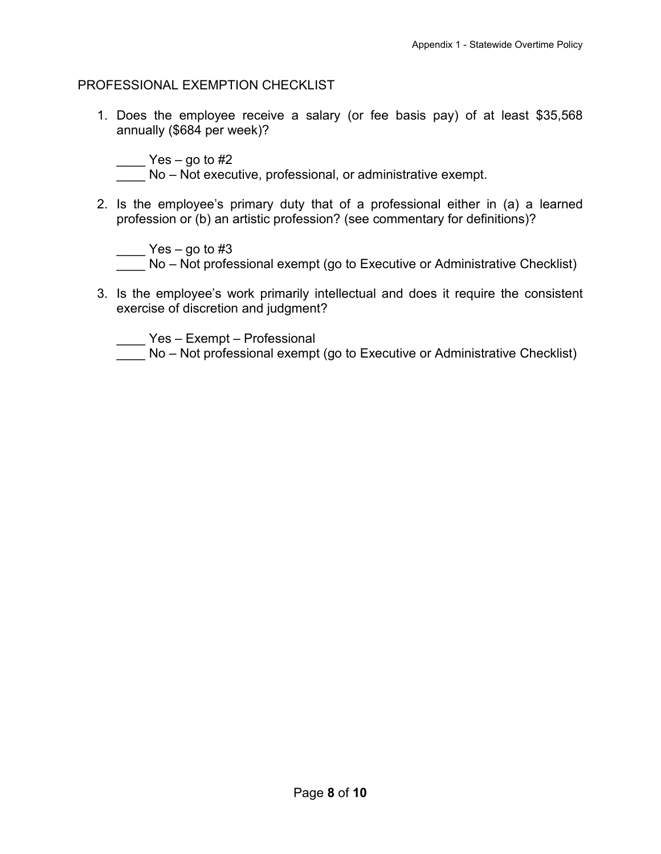#### PROFESSIONAL EXEMPTION CHECKLIST

1. Does the employee receive a salary (or fee basis pay) of at least \$35,568 annually (\$684 per week)?

 $\frac{1}{2}$  Yes – go to #2

No – Not executive, professional, or administrative exempt.

2. Is the employee's primary duty that of a professional either in (a) a learned profession or (b) an artistic profession? (see commentary for definitions)?

 $\frac{1}{2}$  Yes – go to #3

No – Not professional exempt (go to Executive or Administrative Checklist)

3. Is the employee's work primarily intellectual and does it require the consistent exercise of discretion and judgment?

\_\_\_\_ Yes – Exempt – Professional

No – Not professional exempt (go to Executive or Administrative Checklist)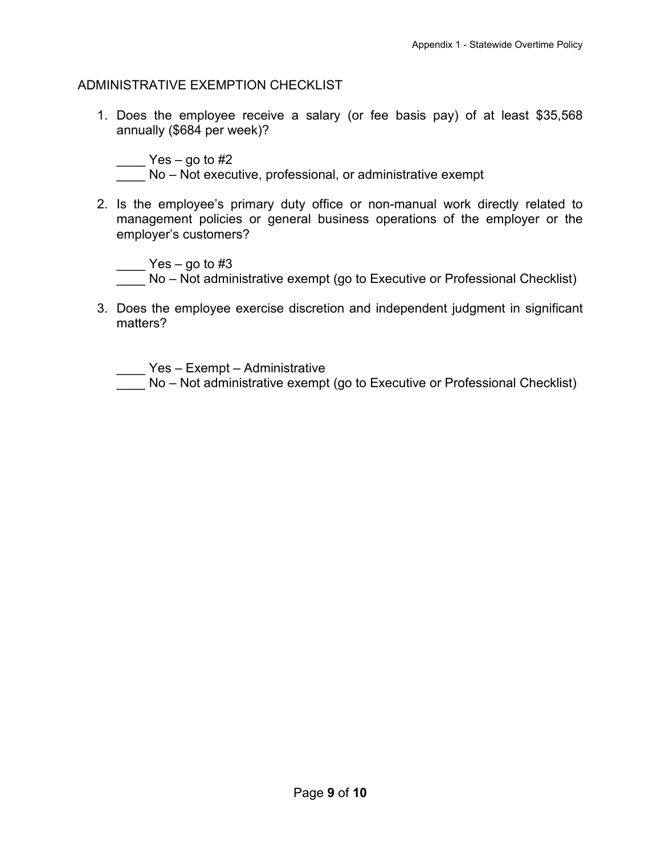#### ADMINISTRATIVE EXEMPTION CHECKLIST

1. Does the employee receive a salary (or fee basis pay) of at least \$35,568 annually (\$684 per week)?

 $\frac{1}{2}$  Yes – go to #2

No – Not executive, professional, or administrative exempt

2. Is the employee's primary duty office or non-manual work directly related to management policies or general business operations of the employer or the employer's customers?

 $\frac{1}{2}$  Yes – go to #3 No – Not administrative exempt (go to Executive or Professional Checklist)

3. Does the employee exercise discretion and independent judgment in significant matters?

\_\_\_\_ Yes – Exempt – Administrative

No – Not administrative exempt (go to Executive or Professional Checklist)